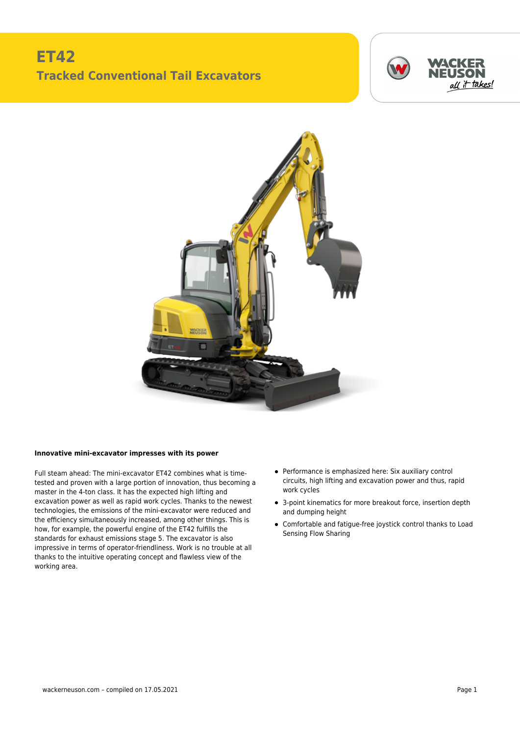## **ET42 Tracked Conventional Tail Excavators**





## **Innovative mini-excavator impresses with its power**

Full steam ahead: The mini-excavator ET42 combines what is timetested and proven with a large portion of innovation, thus becoming a master in the 4-ton class. It has the expected high lifting and excavation power as well as rapid work cycles. Thanks to the newest technologies, the emissions of the mini-excavator were reduced and the efficiency simultaneously increased, among other things. This is how, for example, the powerful engine of the ET42 fulfills the standards for exhaust emissions stage 5. The excavator is also impressive in terms of operator-friendliness. Work is no trouble at all thanks to the intuitive operating concept and flawless view of the working area.

- Performance is emphasized here: Six auxiliary control circuits, high lifting and excavation power and thus, rapid work cycles
- 3-point kinematics for more breakout force, insertion depth and dumping height
- Comfortable and fatigue-free joystick control thanks to Load Sensing Flow Sharing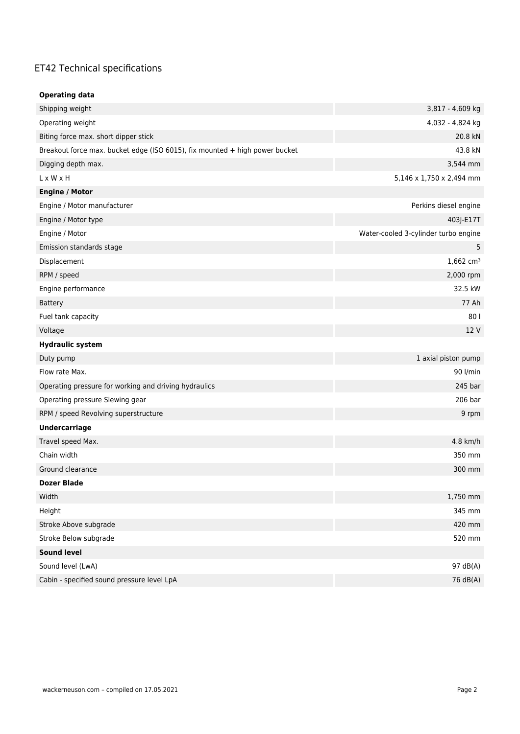## ET42 Technical specifications

| <b>Operating data</b>                                                       |                                      |
|-----------------------------------------------------------------------------|--------------------------------------|
| Shipping weight                                                             | 3,817 - 4,609 kg                     |
| Operating weight                                                            | 4,032 - 4,824 kg                     |
| Biting force max. short dipper stick                                        | 20.8 kN                              |
| Breakout force max. bucket edge (ISO 6015), fix mounted + high power bucket | 43.8 kN                              |
| Digging depth max.                                                          | 3,544 mm                             |
| $L \times W \times H$                                                       | 5,146 x 1,750 x 2,494 mm             |
| <b>Engine / Motor</b>                                                       |                                      |
| Engine / Motor manufacturer                                                 | Perkins diesel engine                |
| Engine / Motor type                                                         | 403J-E17T                            |
| Engine / Motor                                                              | Water-cooled 3-cylinder turbo engine |
| Emission standards stage                                                    | 5                                    |
| Displacement                                                                | $1,662$ cm <sup>3</sup>              |
| RPM / speed                                                                 | 2,000 rpm                            |
| Engine performance                                                          | 32.5 kW                              |
| <b>Battery</b>                                                              | 77 Ah                                |
| Fuel tank capacity                                                          | 80                                   |
| Voltage                                                                     | 12 V                                 |
| <b>Hydraulic system</b>                                                     |                                      |
| Duty pump                                                                   | 1 axial piston pump                  |
| Flow rate Max.                                                              | 90 l/min                             |
| Operating pressure for working and driving hydraulics                       | 245 bar                              |
| Operating pressure Slewing gear                                             | 206 bar                              |
| RPM / speed Revolving superstructure                                        | 9 rpm                                |
| <b>Undercarriage</b>                                                        |                                      |
| Travel speed Max.                                                           | 4.8 km/h                             |
| Chain width                                                                 | 350 mm                               |
| Ground clearance                                                            | 300 mm                               |
| <b>Dozer Blade</b>                                                          |                                      |
| Width                                                                       | 1,750 mm                             |
| Height                                                                      | 345 mm                               |
| Stroke Above subgrade                                                       | 420 mm                               |
| Stroke Below subgrade                                                       | 520 mm                               |
| <b>Sound level</b>                                                          |                                      |
| Sound level (LwA)                                                           | 97 dB(A)                             |
| Cabin - specified sound pressure level LpA                                  | 76 dB(A)                             |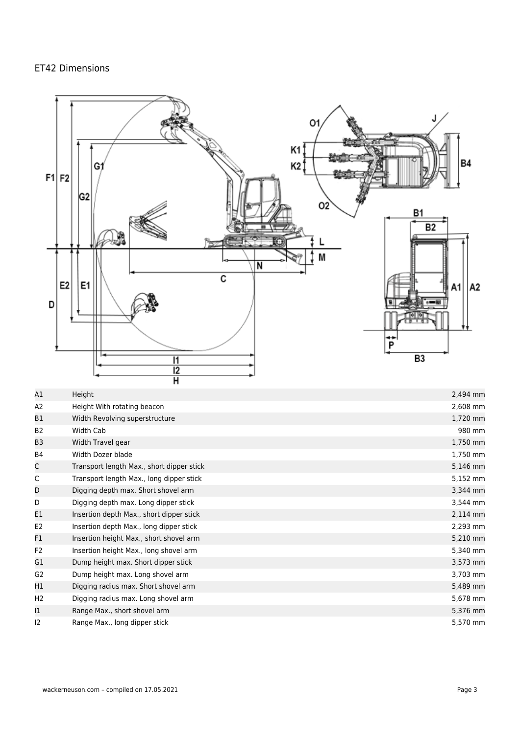## ET42 Dimensions



| Α1             | Height                                    | 2,494 mm |
|----------------|-------------------------------------------|----------|
| A2             | Height With rotating beacon               | 2,608 mm |
| B1             | Width Revolving superstructure            | 1,720 mm |
| B <sub>2</sub> | Width Cab                                 | 980 mm   |
| B <sub>3</sub> | Width Travel gear                         | 1,750 mm |
| <b>B4</b>      | Width Dozer blade                         | 1,750 mm |
| C              | Transport length Max., short dipper stick | 5,146 mm |
| C              | Transport length Max., long dipper stick  | 5,152 mm |
| D              | Digging depth max. Short shovel arm       | 3,344 mm |
| D              | Digging depth max. Long dipper stick      | 3,544 mm |
| E1             | Insertion depth Max., short dipper stick  | 2,114 mm |
| E <sub>2</sub> | Insertion depth Max., long dipper stick   | 2,293 mm |
| F1             | Insertion height Max., short shovel arm   | 5,210 mm |
| F <sub>2</sub> | Insertion height Max., long shovel arm    | 5,340 mm |
| G1             | Dump height max. Short dipper stick       | 3,573 mm |
| G <sub>2</sub> | Dump height max. Long shovel arm          | 3,703 mm |
| H1             | Digging radius max. Short shovel arm      | 5,489 mm |
| H <sub>2</sub> | Digging radius max. Long shovel arm       | 5,678 mm |
| $ 1\rangle$    | Range Max., short shovel arm              | 5,376 mm |
| 12             | Range Max., long dipper stick             | 5,570 mm |